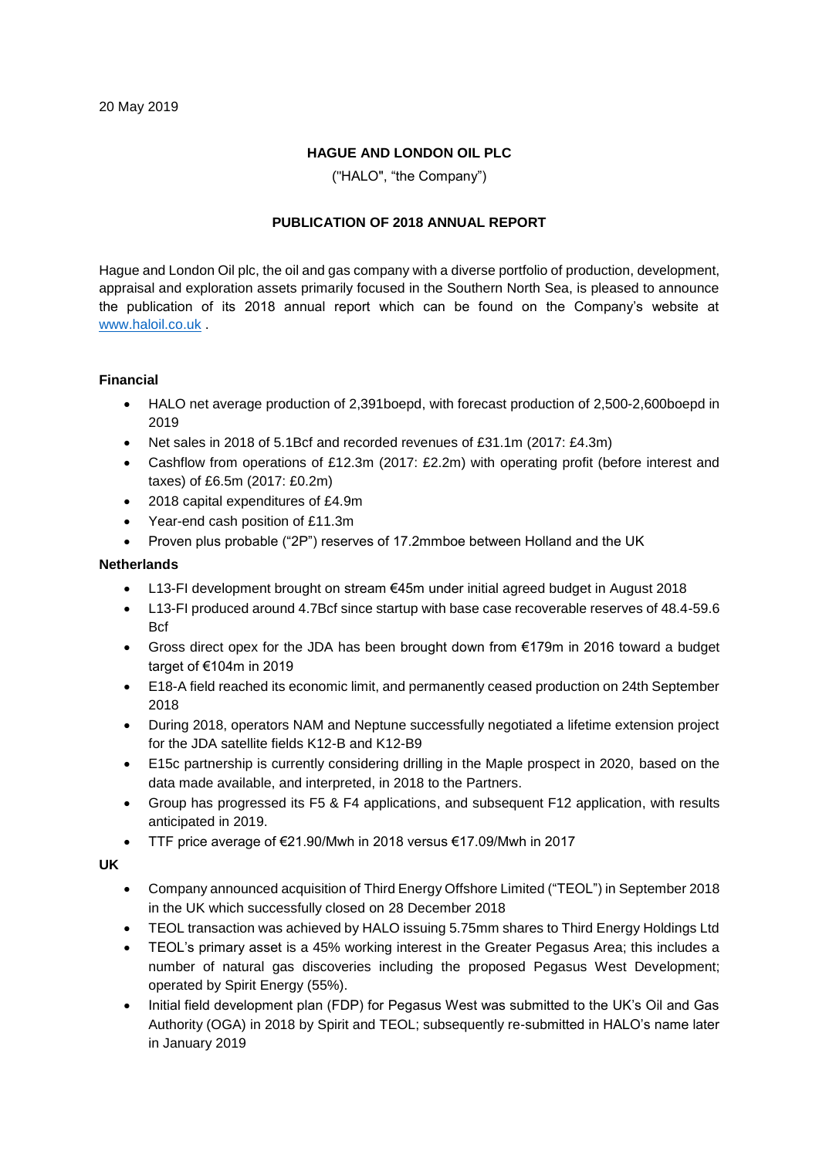# **HAGUE AND LONDON OIL PLC**

("HALO", "the Company")

# **PUBLICATION OF 2018 ANNUAL REPORT**

Hague and London Oil plc, the oil and gas company with a diverse portfolio of production, development, appraisal and exploration assets primarily focused in the Southern North Sea, is pleased to announce the publication of its 2018 annual report which can be found on the Company's website at [www.haloil.co.uk](http://www.haloil.co.uk/) .

## **Financial**

- HALO net average production of 2,391boepd, with forecast production of 2,500-2,600boepd in 2019
- Net sales in 2018 of 5.1Bcf and recorded revenues of £31.1m (2017: £4.3m)
- Cashflow from operations of £12.3m (2017: £2.2m) with operating profit (before interest and taxes) of £6.5m (2017: £0.2m)
- 2018 capital expenditures of £4.9m
- Year-end cash position of £11.3m
- Proven plus probable ("2P") reserves of 17.2mmboe between Holland and the UK

## **Netherlands**

- L13-FI development brought on stream €45m under initial agreed budget in August 2018
- L13-FI produced around 4.7Bcf since startup with base case recoverable reserves of 48.4-59.6 **B**cf
- Gross direct opex for the JDA has been brought down from €179m in 2016 toward a budget target of €104m in 2019
- E18-A field reached its economic limit, and permanently ceased production on 24th September 2018
- During 2018, operators NAM and Neptune successfully negotiated a lifetime extension project for the JDA satellite fields K12-B and K12-B9
- E15c partnership is currently considering drilling in the Maple prospect in 2020, based on the data made available, and interpreted, in 2018 to the Partners.
- Group has progressed its F5 & F4 applications, and subsequent F12 application, with results anticipated in 2019.
- TTF price average of €21.90/Mwh in 2018 versus €17.09/Mwh in 2017

## **UK**

- Company announced acquisition of Third Energy Offshore Limited ("TEOL") in September 2018 in the UK which successfully closed on 28 December 2018
- TEOL transaction was achieved by HALO issuing 5.75mm shares to Third Energy Holdings Ltd
- TEOL's primary asset is a 45% working interest in the Greater Pegasus Area; this includes a number of natural gas discoveries including the proposed Pegasus West Development; operated by Spirit Energy (55%).
- Initial field development plan (FDP) for Pegasus West was submitted to the UK's Oil and Gas Authority (OGA) in 2018 by Spirit and TEOL; subsequently re-submitted in HALO's name later in January 2019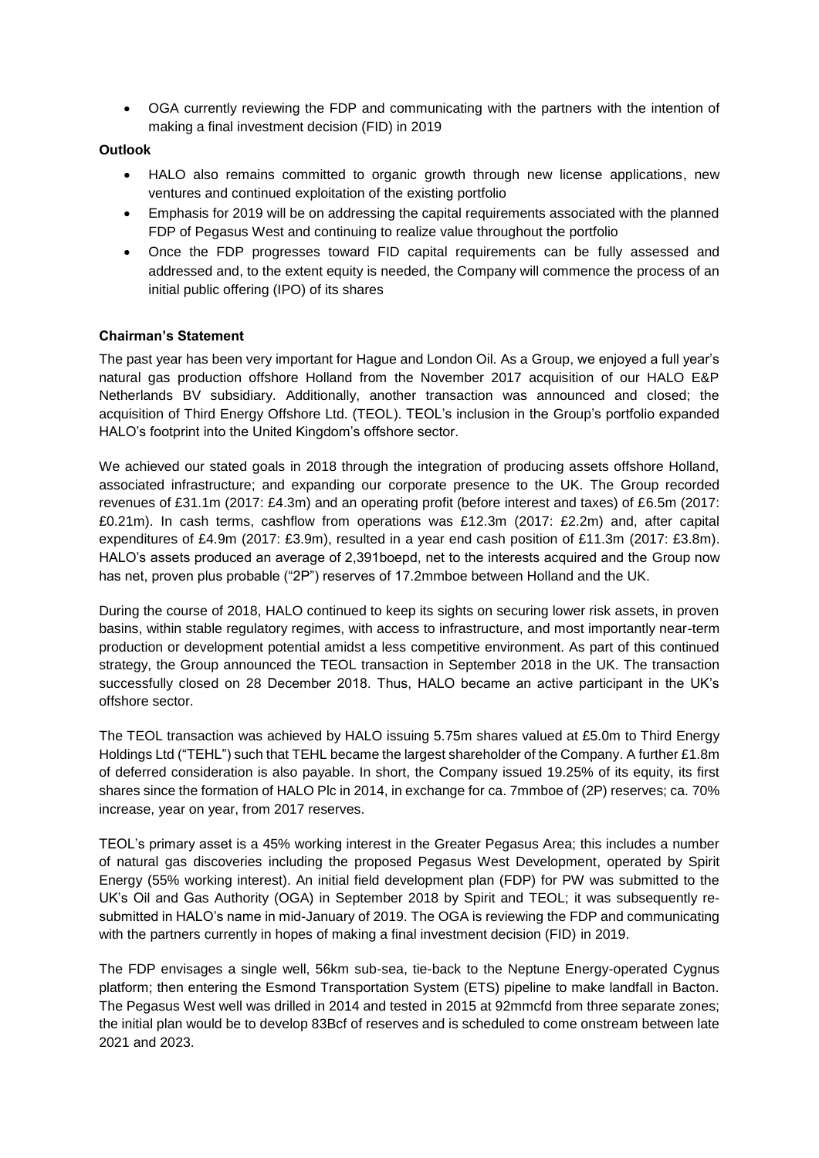• OGA currently reviewing the FDP and communicating with the partners with the intention of making a final investment decision (FID) in 2019

### **Outlook**

- HALO also remains committed to organic growth through new license applications, new ventures and continued exploitation of the existing portfolio
- Emphasis for 2019 will be on addressing the capital requirements associated with the planned FDP of Pegasus West and continuing to realize value throughout the portfolio
- Once the FDP progresses toward FID capital requirements can be fully assessed and addressed and, to the extent equity is needed, the Company will commence the process of an initial public offering (IPO) of its shares

## **Chairman's Statement**

The past year has been very important for Hague and London Oil. As a Group, we enjoyed a full year's natural gas production offshore Holland from the November 2017 acquisition of our HALO E&P Netherlands BV subsidiary. Additionally, another transaction was announced and closed; the acquisition of Third Energy Offshore Ltd. (TEOL). TEOL's inclusion in the Group's portfolio expanded HALO's footprint into the United Kingdom's offshore sector.

We achieved our stated goals in 2018 through the integration of producing assets offshore Holland, associated infrastructure; and expanding our corporate presence to the UK. The Group recorded revenues of £31.1m (2017: £4.3m) and an operating profit (before interest and taxes) of £6.5m (2017: £0.21m). In cash terms, cashflow from operations was £12.3m (2017: £2.2m) and, after capital expenditures of £4.9m (2017: £3.9m), resulted in a year end cash position of £11.3m (2017: £3.8m). HALO's assets produced an average of 2,391boepd, net to the interests acquired and the Group now has net, proven plus probable ("2P") reserves of 17.2mmboe between Holland and the UK.

During the course of 2018, HALO continued to keep its sights on securing lower risk assets, in proven basins, within stable regulatory regimes, with access to infrastructure, and most importantly near-term production or development potential amidst a less competitive environment. As part of this continued strategy, the Group announced the TEOL transaction in September 2018 in the UK. The transaction successfully closed on 28 December 2018. Thus, HALO became an active participant in the UK's offshore sector.

The TEOL transaction was achieved by HALO issuing 5.75m shares valued at £5.0m to Third Energy Holdings Ltd ("TEHL") such that TEHL became the largest shareholder of the Company. A further £1.8m of deferred consideration is also payable. In short, the Company issued 19.25% of its equity, its first shares since the formation of HALO Plc in 2014, in exchange for ca. 7mmboe of (2P) reserves; ca. 70% increase, year on year, from 2017 reserves.

TEOL's primary asset is a 45% working interest in the Greater Pegasus Area; this includes a number of natural gas discoveries including the proposed Pegasus West Development, operated by Spirit Energy (55% working interest). An initial field development plan (FDP) for PW was submitted to the UK's Oil and Gas Authority (OGA) in September 2018 by Spirit and TEOL; it was subsequently resubmitted in HALO's name in mid-January of 2019. The OGA is reviewing the FDP and communicating with the partners currently in hopes of making a final investment decision (FID) in 2019.

The FDP envisages a single well, 56km sub-sea, tie-back to the Neptune Energy-operated Cygnus platform; then entering the Esmond Transportation System (ETS) pipeline to make landfall in Bacton. The Pegasus West well was drilled in 2014 and tested in 2015 at 92mmcfd from three separate zones; the initial plan would be to develop 83Bcf of reserves and is scheduled to come onstream between late 2021 and 2023.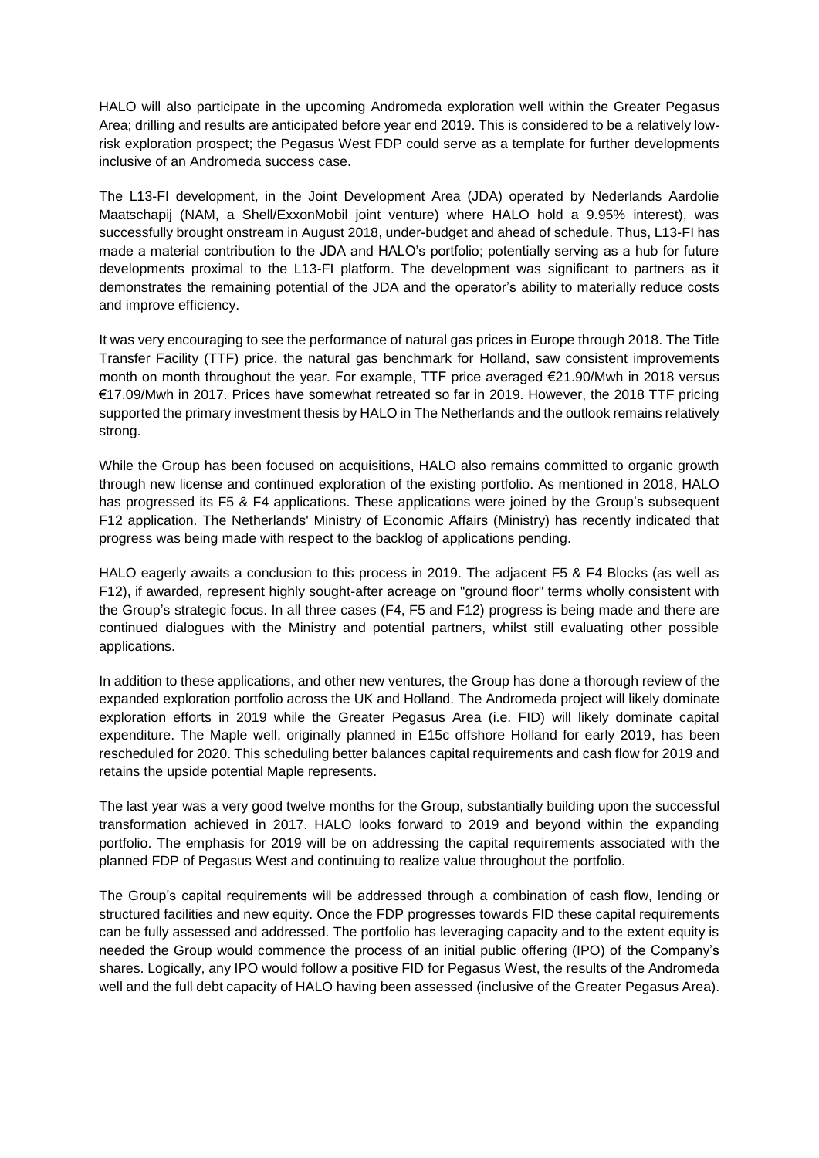HALO will also participate in the upcoming Andromeda exploration well within the Greater Pegasus Area; drilling and results are anticipated before year end 2019. This is considered to be a relatively lowrisk exploration prospect; the Pegasus West FDP could serve as a template for further developments inclusive of an Andromeda success case.

The L13-FI development, in the Joint Development Area (JDA) operated by Nederlands Aardolie Maatschapij (NAM, a Shell/ExxonMobil joint venture) where HALO hold a 9.95% interest), was successfully brought onstream in August 2018, under-budget and ahead of schedule. Thus, L13-FI has made a material contribution to the JDA and HALO's portfolio; potentially serving as a hub for future developments proximal to the L13-FI platform. The development was significant to partners as it demonstrates the remaining potential of the JDA and the operator's ability to materially reduce costs and improve efficiency.

It was very encouraging to see the performance of natural gas prices in Europe through 2018. The Title Transfer Facility (TTF) price, the natural gas benchmark for Holland, saw consistent improvements month on month throughout the year. For example, TTF price averaged €21.90/Mwh in 2018 versus €17.09/Mwh in 2017. Prices have somewhat retreated so far in 2019. However, the 2018 TTF pricing supported the primary investment thesis by HALO in The Netherlands and the outlook remains relatively strong.

While the Group has been focused on acquisitions, HALO also remains committed to organic growth through new license and continued exploration of the existing portfolio. As mentioned in 2018, HALO has progressed its F5 & F4 applications. These applications were joined by the Group's subsequent F12 application. The Netherlands' Ministry of Economic Affairs (Ministry) has recently indicated that progress was being made with respect to the backlog of applications pending.

HALO eagerly awaits a conclusion to this process in 2019. The adjacent F5 & F4 Blocks (as well as F12), if awarded, represent highly sought-after acreage on "ground floor" terms wholly consistent with the Group's strategic focus. In all three cases (F4, F5 and F12) progress is being made and there are continued dialogues with the Ministry and potential partners, whilst still evaluating other possible applications.

In addition to these applications, and other new ventures, the Group has done a thorough review of the expanded exploration portfolio across the UK and Holland. The Andromeda project will likely dominate exploration efforts in 2019 while the Greater Pegasus Area (i.e. FID) will likely dominate capital expenditure. The Maple well, originally planned in E15c offshore Holland for early 2019, has been rescheduled for 2020. This scheduling better balances capital requirements and cash flow for 2019 and retains the upside potential Maple represents.

The last year was a very good twelve months for the Group, substantially building upon the successful transformation achieved in 2017. HALO looks forward to 2019 and beyond within the expanding portfolio. The emphasis for 2019 will be on addressing the capital requirements associated with the planned FDP of Pegasus West and continuing to realize value throughout the portfolio.

The Group's capital requirements will be addressed through a combination of cash flow, lending or structured facilities and new equity. Once the FDP progresses towards FID these capital requirements can be fully assessed and addressed. The portfolio has leveraging capacity and to the extent equity is needed the Group would commence the process of an initial public offering (IPO) of the Company's shares. Logically, any IPO would follow a positive FID for Pegasus West, the results of the Andromeda well and the full debt capacity of HALO having been assessed (inclusive of the Greater Pegasus Area).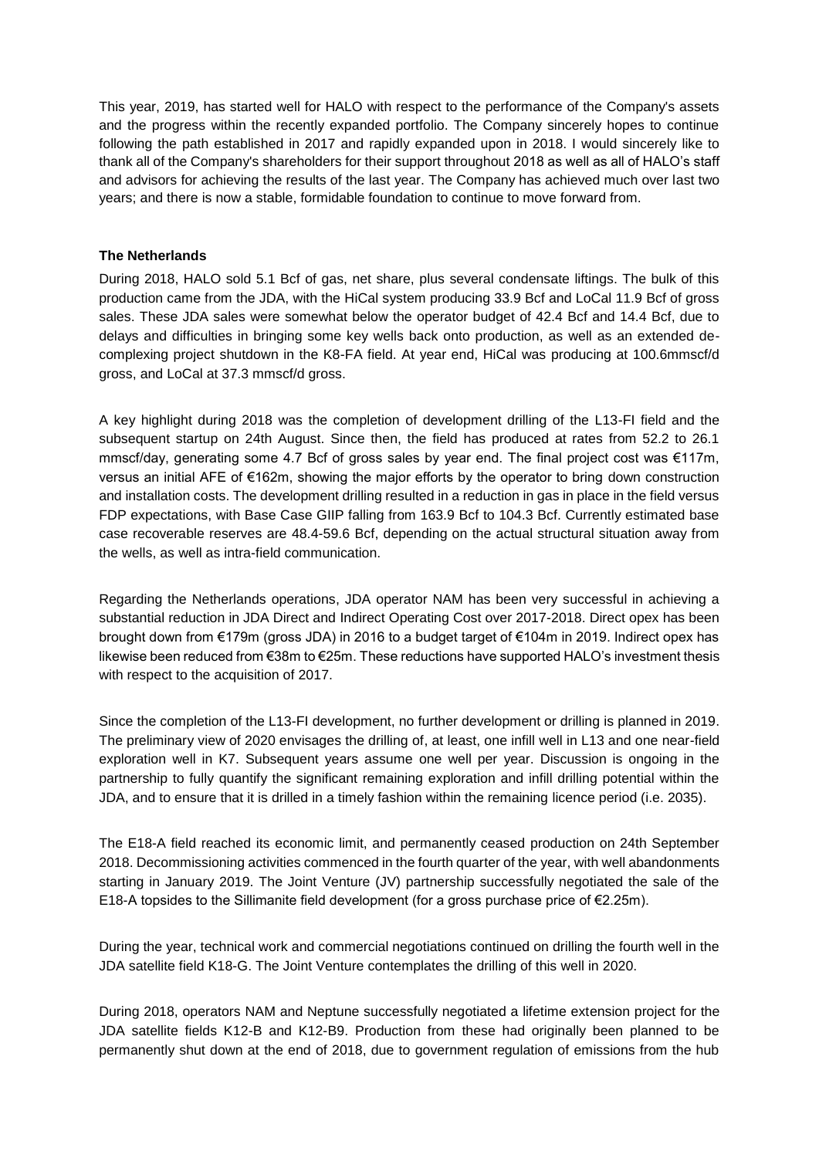This year, 2019, has started well for HALO with respect to the performance of the Company's assets and the progress within the recently expanded portfolio. The Company sincerely hopes to continue following the path established in 2017 and rapidly expanded upon in 2018. I would sincerely like to thank all of the Company's shareholders for their support throughout 2018 as well as all of HALO's staff and advisors for achieving the results of the last year. The Company has achieved much over last two years; and there is now a stable, formidable foundation to continue to move forward from.

### **The Netherlands**

During 2018, HALO sold 5.1 Bcf of gas, net share, plus several condensate liftings. The bulk of this production came from the JDA, with the HiCal system producing 33.9 Bcf and LoCal 11.9 Bcf of gross sales. These JDA sales were somewhat below the operator budget of 42.4 Bcf and 14.4 Bcf, due to delays and difficulties in bringing some key wells back onto production, as well as an extended decomplexing project shutdown in the K8-FA field. At year end, HiCal was producing at 100.6mmscf/d gross, and LoCal at 37.3 mmscf/d gross.

A key highlight during 2018 was the completion of development drilling of the L13-FI field and the subsequent startup on 24th August. Since then, the field has produced at rates from 52.2 to 26.1 mmscf/day, generating some 4.7 Bcf of gross sales by year end. The final project cost was €117m, versus an initial AFE of €162m, showing the major efforts by the operator to bring down construction and installation costs. The development drilling resulted in a reduction in gas in place in the field versus FDP expectations, with Base Case GIIP falling from 163.9 Bcf to 104.3 Bcf. Currently estimated base case recoverable reserves are 48.4-59.6 Bcf, depending on the actual structural situation away from the wells, as well as intra-field communication.

Regarding the Netherlands operations, JDA operator NAM has been very successful in achieving a substantial reduction in JDA Direct and Indirect Operating Cost over 2017-2018. Direct opex has been brought down from €179m (gross JDA) in 2016 to a budget target of €104m in 2019. Indirect opex has likewise been reduced from €38m to €25m. These reductions have supported HALO's investment thesis with respect to the acquisition of 2017.

Since the completion of the L13-FI development, no further development or drilling is planned in 2019. The preliminary view of 2020 envisages the drilling of, at least, one infill well in L13 and one near-field exploration well in K7. Subsequent years assume one well per year. Discussion is ongoing in the partnership to fully quantify the significant remaining exploration and infill drilling potential within the JDA, and to ensure that it is drilled in a timely fashion within the remaining licence period (i.e. 2035).

The E18-A field reached its economic limit, and permanently ceased production on 24th September 2018. Decommissioning activities commenced in the fourth quarter of the year, with well abandonments starting in January 2019. The Joint Venture (JV) partnership successfully negotiated the sale of the E18-A topsides to the Sillimanite field development (for a gross purchase price of €2.25m).

During the year, technical work and commercial negotiations continued on drilling the fourth well in the JDA satellite field K18-G. The Joint Venture contemplates the drilling of this well in 2020.

During 2018, operators NAM and Neptune successfully negotiated a lifetime extension project for the JDA satellite fields K12-B and K12-B9. Production from these had originally been planned to be permanently shut down at the end of 2018, due to government regulation of emissions from the hub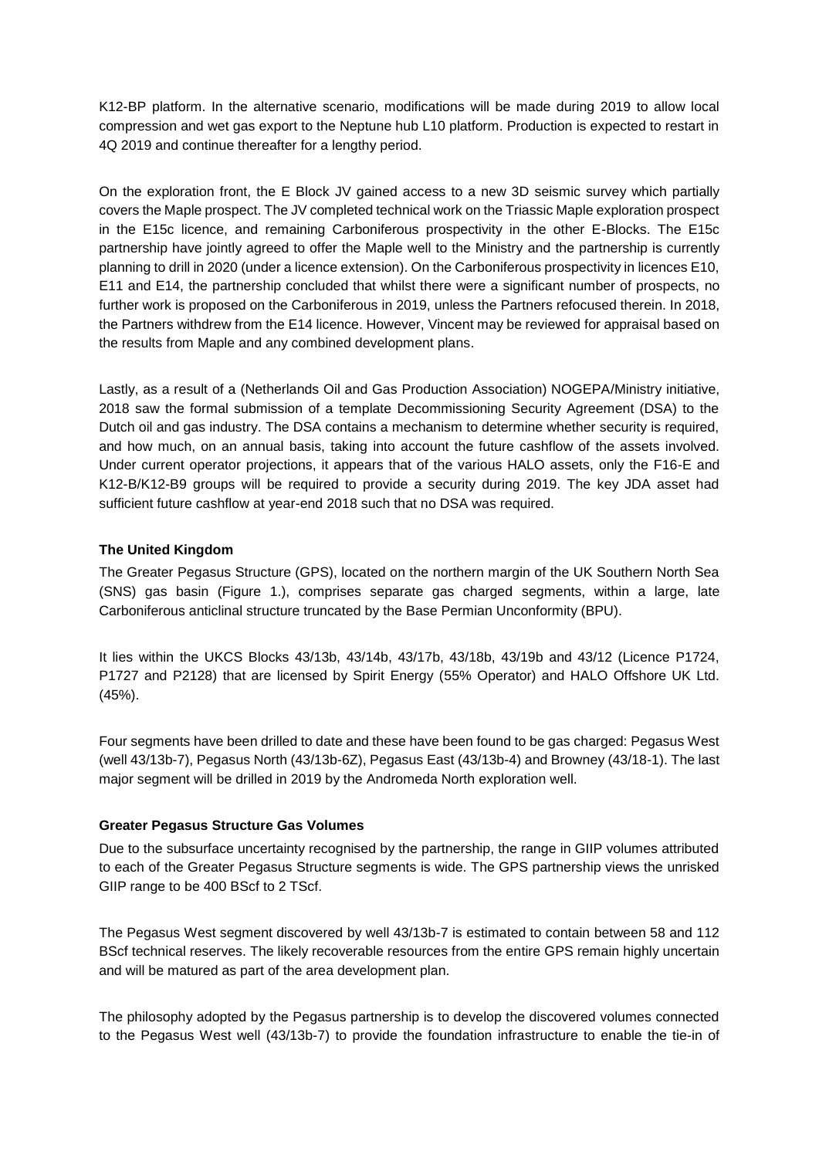K12-BP platform. In the alternative scenario, modifications will be made during 2019 to allow local compression and wet gas export to the Neptune hub L10 platform. Production is expected to restart in 4Q 2019 and continue thereafter for a lengthy period.

On the exploration front, the E Block JV gained access to a new 3D seismic survey which partially covers the Maple prospect. The JV completed technical work on the Triassic Maple exploration prospect in the E15c licence, and remaining Carboniferous prospectivity in the other E-Blocks. The E15c partnership have jointly agreed to offer the Maple well to the Ministry and the partnership is currently planning to drill in 2020 (under a licence extension). On the Carboniferous prospectivity in licences E10, E11 and E14, the partnership concluded that whilst there were a significant number of prospects, no further work is proposed on the Carboniferous in 2019, unless the Partners refocused therein. In 2018, the Partners withdrew from the E14 licence. However, Vincent may be reviewed for appraisal based on the results from Maple and any combined development plans.

Lastly, as a result of a (Netherlands Oil and Gas Production Association) NOGEPA/Ministry initiative, 2018 saw the formal submission of a template Decommissioning Security Agreement (DSA) to the Dutch oil and gas industry. The DSA contains a mechanism to determine whether security is required, and how much, on an annual basis, taking into account the future cashflow of the assets involved. Under current operator projections, it appears that of the various HALO assets, only the F16-E and K12-B/K12-B9 groups will be required to provide a security during 2019. The key JDA asset had sufficient future cashflow at year-end 2018 such that no DSA was required.

## **The United Kingdom**

The Greater Pegasus Structure (GPS), located on the northern margin of the UK Southern North Sea (SNS) gas basin (Figure 1.), comprises separate gas charged segments, within a large, late Carboniferous anticlinal structure truncated by the Base Permian Unconformity (BPU).

It lies within the UKCS Blocks 43/13b, 43/14b, 43/17b, 43/18b, 43/19b and 43/12 (Licence P1724, P1727 and P2128) that are licensed by Spirit Energy (55% Operator) and HALO Offshore UK Ltd. (45%).

Four segments have been drilled to date and these have been found to be gas charged: Pegasus West (well 43/13b-7), Pegasus North (43/13b-6Z), Pegasus East (43/13b-4) and Browney (43/18-1). The last major segment will be drilled in 2019 by the Andromeda North exploration well.

## **Greater Pegasus Structure Gas Volumes**

Due to the subsurface uncertainty recognised by the partnership, the range in GIIP volumes attributed to each of the Greater Pegasus Structure segments is wide. The GPS partnership views the unrisked GIIP range to be 400 BScf to 2 TScf.

The Pegasus West segment discovered by well 43/13b-7 is estimated to contain between 58 and 112 BScf technical reserves. The likely recoverable resources from the entire GPS remain highly uncertain and will be matured as part of the area development plan.

The philosophy adopted by the Pegasus partnership is to develop the discovered volumes connected to the Pegasus West well (43/13b-7) to provide the foundation infrastructure to enable the tie-in of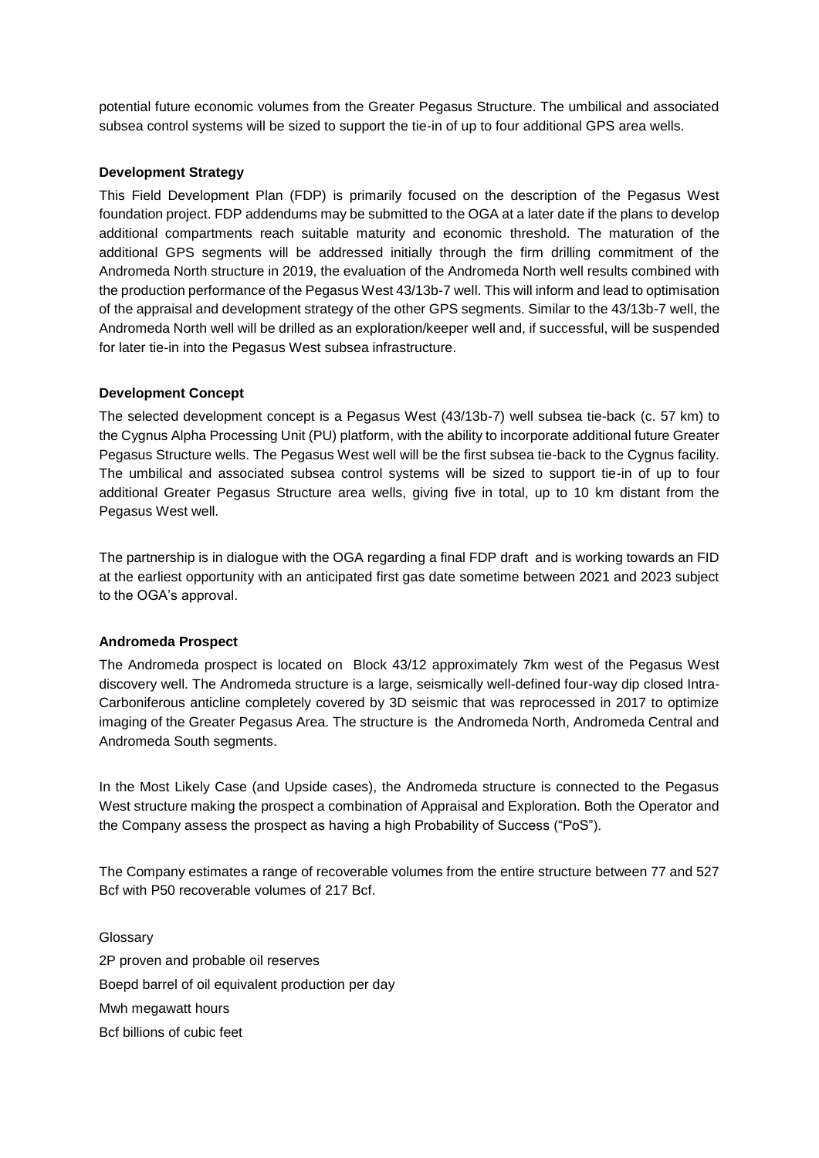potential future economic volumes from the Greater Pegasus Structure. The umbilical and associated subsea control systems will be sized to support the tie-in of up to four additional GPS area wells.

### **Development Strategy**

This Field Development Plan (FDP) is primarily focused on the description of the Pegasus West foundation project. FDP addendums may be submitted to the OGA at a later date if the plans to develop additional compartments reach suitable maturity and economic threshold. The maturation of the additional GPS segments will be addressed initially through the firm drilling commitment of the Andromeda North structure in 2019, the evaluation of the Andromeda North well results combined with the production performance of the Pegasus West 43/13b-7 well. This will inform and lead to optimisation of the appraisal and development strategy of the other GPS segments. Similar to the 43/13b-7 well, the Andromeda North well will be drilled as an exploration/keeper well and, if successful, will be suspended for later tie-in into the Pegasus West subsea infrastructure.

#### **Development Concept**

The selected development concept is a Pegasus West (43/13b-7) well subsea tie-back (c. 57 km) to the Cygnus Alpha Processing Unit (PU) platform, with the ability to incorporate additional future Greater Pegasus Structure wells. The Pegasus West well will be the first subsea tie-back to the Cygnus facility. The umbilical and associated subsea control systems will be sized to support tie-in of up to four additional Greater Pegasus Structure area wells, giving five in total, up to 10 km distant from the Pegasus West well.

The partnership is in dialogue with the OGA regarding a final FDP draft and is working towards an FID at the earliest opportunity with an anticipated first gas date sometime between 2021 and 2023 subject to the OGA's approval.

## **Andromeda Prospect**

The Andromeda prospect is located on Block 43/12 approximately 7km west of the Pegasus West discovery well. The Andromeda structure is a large, seismically well-defined four-way dip closed Intra-Carboniferous anticline completely covered by 3D seismic that was reprocessed in 2017 to optimize imaging of the Greater Pegasus Area. The structure is the Andromeda North, Andromeda Central and Andromeda South segments.

In the Most Likely Case (and Upside cases), the Andromeda structure is connected to the Pegasus West structure making the prospect a combination of Appraisal and Exploration. Both the Operator and the Company assess the prospect as having a high Probability of Success ("PoS").

The Company estimates a range of recoverable volumes from the entire structure between 77 and 527 Bcf with P50 recoverable volumes of 217 Bcf.

Glossary 2P proven and probable oil reserves Boepd barrel of oil equivalent production per day Mwh megawatt hours Bcf billions of cubic feet